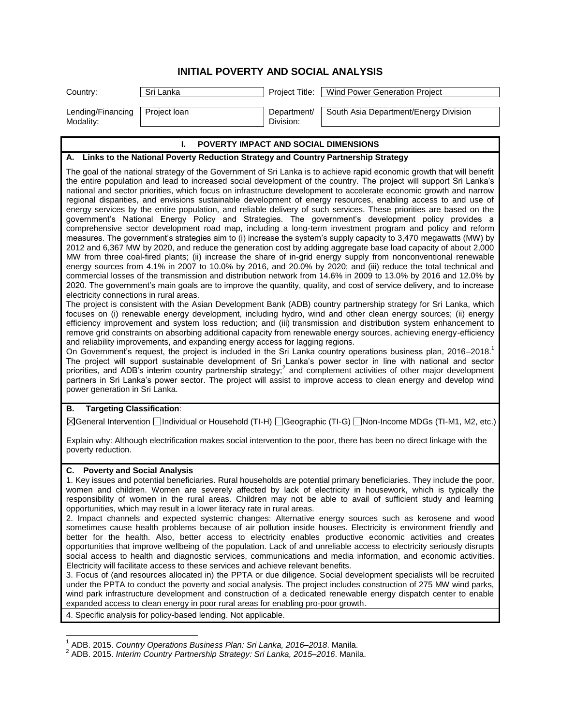## **INITIAL POVERTY AND SOCIAL ANALYSIS**

| <b>POVERTY IMPACT AND SOCIAL DIMENSIONS</b> |              |                          |                                                |  |  |
|---------------------------------------------|--------------|--------------------------|------------------------------------------------|--|--|
| Lending/Financing<br>Modality:              | Project Ioan | Department/<br>Division: | South Asia Department/Energy Division          |  |  |
|                                             |              |                          |                                                |  |  |
| Country:                                    | Sri Lanka    |                          | Project Title:   Wind Power Generation Project |  |  |

| ENTI INFACI AND SOCIAL DINENSIONS                                                                                                                                                                                                                                                                                                                                                                                                                                                                                                                                                                                                                                                                                                                                                                                                                                                                                                                                                                                                                                                                                                                                                                                                                                                                                                                                                                                                                                                                                                                                                                                                                                                                                                                                                                                                                                                                                                                                                                                                                                                                                                                                                                                                                                                                                                                                                                                                                                                                                                                                                                                                                                                                 |
|---------------------------------------------------------------------------------------------------------------------------------------------------------------------------------------------------------------------------------------------------------------------------------------------------------------------------------------------------------------------------------------------------------------------------------------------------------------------------------------------------------------------------------------------------------------------------------------------------------------------------------------------------------------------------------------------------------------------------------------------------------------------------------------------------------------------------------------------------------------------------------------------------------------------------------------------------------------------------------------------------------------------------------------------------------------------------------------------------------------------------------------------------------------------------------------------------------------------------------------------------------------------------------------------------------------------------------------------------------------------------------------------------------------------------------------------------------------------------------------------------------------------------------------------------------------------------------------------------------------------------------------------------------------------------------------------------------------------------------------------------------------------------------------------------------------------------------------------------------------------------------------------------------------------------------------------------------------------------------------------------------------------------------------------------------------------------------------------------------------------------------------------------------------------------------------------------------------------------------------------------------------------------------------------------------------------------------------------------------------------------------------------------------------------------------------------------------------------------------------------------------------------------------------------------------------------------------------------------------------------------------------------------------------------------------------------------|
| A. Links to the National Poverty Reduction Strategy and Country Partnership Strategy                                                                                                                                                                                                                                                                                                                                                                                                                                                                                                                                                                                                                                                                                                                                                                                                                                                                                                                                                                                                                                                                                                                                                                                                                                                                                                                                                                                                                                                                                                                                                                                                                                                                                                                                                                                                                                                                                                                                                                                                                                                                                                                                                                                                                                                                                                                                                                                                                                                                                                                                                                                                              |
| The goal of the national strategy of the Government of Sri Lanka is to achieve rapid economic growth that will benefit<br>the entire population and lead to increased social development of the country. The project will support Sri Lanka's<br>national and sector priorities, which focus on infrastructure development to accelerate economic growth and narrow<br>regional disparities, and envisions sustainable development of energy resources, enabling access to and use of<br>energy services by the entire population, and reliable delivery of such services. These priorities are based on the<br>government's National Energy Policy and Strategies. The government's development policy provides a<br>comprehensive sector development road map, including a long-term investment program and policy and reform<br>measures. The government's strategies aim to (i) increase the system's supply capacity to 3,470 megawatts (MW) by<br>2012 and 6,367 MW by 2020, and reduce the generation cost by adding aggregate base load capacity of about 2,000<br>MW from three coal-fired plants; (ii) increase the share of in-grid energy supply from nonconventional renewable<br>energy sources from 4.1% in 2007 to 10.0% by 2016, and 20.0% by 2020; and (iii) reduce the total technical and<br>commercial losses of the transmission and distribution network from 14.6% in 2009 to 13.0% by 2016 and 12.0% by<br>2020. The government's main goals are to improve the quantity, quality, and cost of service delivery, and to increase<br>electricity connections in rural areas.<br>The project is consistent with the Asian Development Bank (ADB) country partnership strategy for Sri Lanka, which<br>focuses on (i) renewable energy development, including hydro, wind and other clean energy sources; (ii) energy<br>efficiency improvement and system loss reduction; and (iii) transmission and distribution system enhancement to<br>remove grid constraints on absorbing additional capacity from renewable energy sources, achieving energy-efficiency<br>and reliability improvements, and expanding energy access for lagging regions.<br>On Government's request, the project is included in the Sri Lanka country operations business plan, 2016-2018.<br>The project will support sustainable development of Sri Lanka's power sector in line with national and sector<br>priorities, and ADB's interim country partnership strategy; <sup>2</sup> and complement activities of other major development<br>partners in Sri Lanka's power sector. The project will assist to improve access to clean energy and develop wind<br>power generation in Sri Lanka. |
| <b>Targeting Classification:</b><br>В.<br>⊠General Intervention □Individual or Household (TI-H) □Geographic (TI-G) □Non-Income MDGs (TI-M1, M2, etc.)                                                                                                                                                                                                                                                                                                                                                                                                                                                                                                                                                                                                                                                                                                                                                                                                                                                                                                                                                                                                                                                                                                                                                                                                                                                                                                                                                                                                                                                                                                                                                                                                                                                                                                                                                                                                                                                                                                                                                                                                                                                                                                                                                                                                                                                                                                                                                                                                                                                                                                                                             |
|                                                                                                                                                                                                                                                                                                                                                                                                                                                                                                                                                                                                                                                                                                                                                                                                                                                                                                                                                                                                                                                                                                                                                                                                                                                                                                                                                                                                                                                                                                                                                                                                                                                                                                                                                                                                                                                                                                                                                                                                                                                                                                                                                                                                                                                                                                                                                                                                                                                                                                                                                                                                                                                                                                   |
| Explain why: Although electrification makes social intervention to the poor, there has been no direct linkage with the<br>poverty reduction.                                                                                                                                                                                                                                                                                                                                                                                                                                                                                                                                                                                                                                                                                                                                                                                                                                                                                                                                                                                                                                                                                                                                                                                                                                                                                                                                                                                                                                                                                                                                                                                                                                                                                                                                                                                                                                                                                                                                                                                                                                                                                                                                                                                                                                                                                                                                                                                                                                                                                                                                                      |
| <b>C.</b> Poverty and Social Analysis<br>1. Key issues and potential beneficiaries. Rural households are potential primary beneficiaries. They include the poor,<br>women and children. Women are severely affected by lack of electricity in housework, which is typically the<br>responsibility of women in the rural areas. Children may not be able to avail of sufficient study and learning<br>opportunities, which may result in a lower literacy rate in rural areas.<br>2. Impact channels and expected systemic changes: Alternative energy sources such as kerosene and wood<br>sometimes cause health problems because of air pollution inside houses. Electricity is environment friendly and<br>better for the health. Also, better access to electricity enables productive economic activities and creates<br>opportunities that improve wellbeing of the population. Lack of and unreliable access to electricity seriously disrupts<br>social access to health and diagnostic services, communications and media information, and economic activities.<br>Electricity will facilitate access to these services and achieve relevant benefits.<br>$\mathcal{A}$ from the convergence of the contract the Notation $\mathcal{A}$ and the contract of the contract of the contract of the contract of the contract of the contract of the contract of the contract of the contract of the c<br>فالمتعارض والمستحي والمنافس المتعارض والمتعارض والمستحدث والمستحدث والمتنازعات                                                                                                                                                                                                                                                                                                                                                                                                                                                                                                                                                                                                                                                                                                                                                                                                                                                                                                                                                                                                                                                                                                                                                                                                      |

3. Focus of (and resources allocated in) the PPTA or due diligence. Social development specialists will be recruited under the PPTA to conduct the poverty and social analysis. The project includes construction of 275 MW wind parks, wind park infrastructure development and construction of a dedicated renewable energy dispatch center to enable expanded access to clean energy in poor rural areas for enabling pro-poor growth.

4. Specific analysis for policy-based lending. Not applicable.

 1 ADB. 2015. *Country Operations Business Plan: Sri Lanka, 2016–2018*. Manila. 2 ADB. 2015. *Interim Country Partnership Strategy: Sri Lanka, 2015–2016*. Manila.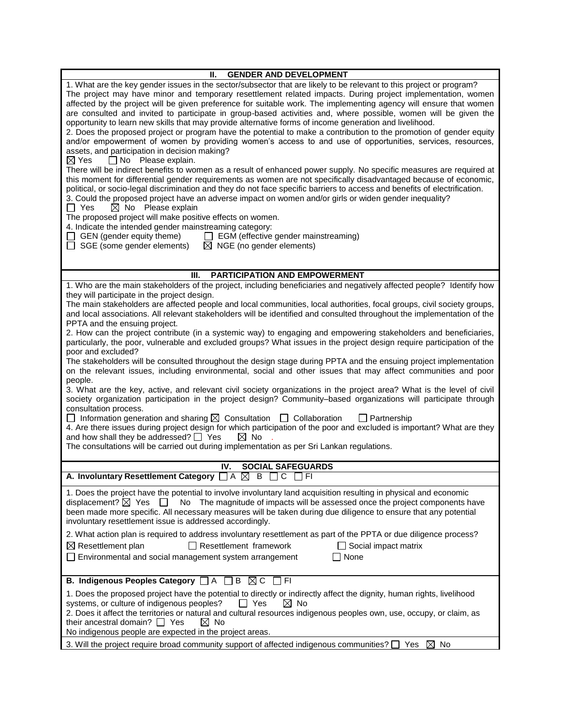| <b>GENDER AND DEVELOPMENT</b><br>н. -                                                                                                                                                                                                                                                                                                                                                                                                                                                                                                                                                                                                                                                                                                                                                                                                                                                                                                                                                                                                                                                                                                                                                                                                                                                                                                                                                                                                                                                                                        |  |  |
|------------------------------------------------------------------------------------------------------------------------------------------------------------------------------------------------------------------------------------------------------------------------------------------------------------------------------------------------------------------------------------------------------------------------------------------------------------------------------------------------------------------------------------------------------------------------------------------------------------------------------------------------------------------------------------------------------------------------------------------------------------------------------------------------------------------------------------------------------------------------------------------------------------------------------------------------------------------------------------------------------------------------------------------------------------------------------------------------------------------------------------------------------------------------------------------------------------------------------------------------------------------------------------------------------------------------------------------------------------------------------------------------------------------------------------------------------------------------------------------------------------------------------|--|--|
| 1. What are the key gender issues in the sector/subsector that are likely to be relevant to this project or program?<br>The project may have minor and temporary resettlement related impacts. During project implementation, women<br>affected by the project will be given preference for suitable work. The implementing agency will ensure that women<br>are consulted and invited to participate in group-based activities and, where possible, women will be given the<br>opportunity to learn new skills that may provide alternative forms of income generation and livelihood.<br>2. Does the proposed project or program have the potential to make a contribution to the promotion of gender equity<br>and/or empowerment of women by providing women's access to and use of opportunities, services, resources,<br>assets, and participation in decision making?<br>$\Box$ No Please explain.<br>$\boxtimes$ Yes<br>There will be indirect benefits to women as a result of enhanced power supply. No specific measures are required at<br>this moment for differential gender requirements as women are not specifically disadvantaged because of economic,<br>political, or socio-legal discrimination and they do not face specific barriers to access and benefits of electrification.<br>3. Could the proposed project have an adverse impact on women and/or girls or widen gender inequality?<br>$\boxtimes$ No Please explain<br>$\Box$ Yes<br>The proposed project will make positive effects on women. |  |  |
| 4. Indicate the intended gender mainstreaming category:                                                                                                                                                                                                                                                                                                                                                                                                                                                                                                                                                                                                                                                                                                                                                                                                                                                                                                                                                                                                                                                                                                                                                                                                                                                                                                                                                                                                                                                                      |  |  |
| $\Box$ GEN (gender equity theme) $\Box$ EGM (effective gender mainstreaming)<br>$\Box$ SGE (some gender elements)<br>$\boxtimes$ NGE (no gender elements)                                                                                                                                                                                                                                                                                                                                                                                                                                                                                                                                                                                                                                                                                                                                                                                                                                                                                                                                                                                                                                                                                                                                                                                                                                                                                                                                                                    |  |  |
|                                                                                                                                                                                                                                                                                                                                                                                                                                                                                                                                                                                                                                                                                                                                                                                                                                                                                                                                                                                                                                                                                                                                                                                                                                                                                                                                                                                                                                                                                                                              |  |  |
| <b>PARTICIPATION AND EMPOWERMENT</b><br>III.                                                                                                                                                                                                                                                                                                                                                                                                                                                                                                                                                                                                                                                                                                                                                                                                                                                                                                                                                                                                                                                                                                                                                                                                                                                                                                                                                                                                                                                                                 |  |  |
| 1. Who are the main stakeholders of the project, including beneficiaries and negatively affected people? Identify how                                                                                                                                                                                                                                                                                                                                                                                                                                                                                                                                                                                                                                                                                                                                                                                                                                                                                                                                                                                                                                                                                                                                                                                                                                                                                                                                                                                                        |  |  |
| they will participate in the project design.<br>The main stakeholders are affected people and local communities, local authorities, focal groups, civil society groups,<br>and local associations. All relevant stakeholders will be identified and consulted throughout the implementation of the<br>PPTA and the ensuing project.                                                                                                                                                                                                                                                                                                                                                                                                                                                                                                                                                                                                                                                                                                                                                                                                                                                                                                                                                                                                                                                                                                                                                                                          |  |  |
| 2. How can the project contribute (in a systemic way) to engaging and empowering stakeholders and beneficiaries,<br>particularly, the poor, vulnerable and excluded groups? What issues in the project design require participation of the<br>poor and excluded?                                                                                                                                                                                                                                                                                                                                                                                                                                                                                                                                                                                                                                                                                                                                                                                                                                                                                                                                                                                                                                                                                                                                                                                                                                                             |  |  |
| The stakeholders will be consulted throughout the design stage during PPTA and the ensuing project implementation<br>on the relevant issues, including environmental, social and other issues that may affect communities and poor<br>people.                                                                                                                                                                                                                                                                                                                                                                                                                                                                                                                                                                                                                                                                                                                                                                                                                                                                                                                                                                                                                                                                                                                                                                                                                                                                                |  |  |
| 3. What are the key, active, and relevant civil society organizations in the project area? What is the level of civil<br>society organization participation in the project design? Community-based organizations will participate through<br>consultation process.                                                                                                                                                                                                                                                                                                                                                                                                                                                                                                                                                                                                                                                                                                                                                                                                                                                                                                                                                                                                                                                                                                                                                                                                                                                           |  |  |
| $\Box$ Information generation and sharing $\boxtimes$ Consultation $\Box$ Collaboration<br>$\Box$ Partnership<br>4. Are there issues during project design for which participation of the poor and excluded is important? What are they<br>and how shall they be addressed? $\Box$ Yes<br>$\boxtimes$ No<br>The consultations will be carried out during implementation as per Sri Lankan regulations.                                                                                                                                                                                                                                                                                                                                                                                                                                                                                                                                                                                                                                                                                                                                                                                                                                                                                                                                                                                                                                                                                                                       |  |  |
|                                                                                                                                                                                                                                                                                                                                                                                                                                                                                                                                                                                                                                                                                                                                                                                                                                                                                                                                                                                                                                                                                                                                                                                                                                                                                                                                                                                                                                                                                                                              |  |  |
| <b>SOCIAL SAFEGUARDS</b><br>IV.<br>A. Involuntary Resettlement Category □ A ⊠ B □ C<br>$\Box$ FI                                                                                                                                                                                                                                                                                                                                                                                                                                                                                                                                                                                                                                                                                                                                                                                                                                                                                                                                                                                                                                                                                                                                                                                                                                                                                                                                                                                                                             |  |  |
| 1. Does the project have the potential to involve involuntary land acquisition resulting in physical and economic<br>displacement? $\boxtimes$ Yes<br>No The magnitude of impacts will be assessed once the project components have<br>been made more specific. All necessary measures will be taken during due diligence to ensure that any potential<br>involuntary resettlement issue is addressed accordingly.                                                                                                                                                                                                                                                                                                                                                                                                                                                                                                                                                                                                                                                                                                                                                                                                                                                                                                                                                                                                                                                                                                           |  |  |
| 2. What action plan is required to address involuntary resettlement as part of the PPTA or due diligence process?<br>$\Box$ Resettlement framework<br>$\boxtimes$ Resettlement plan<br>$\Box$ Social impact matrix<br>$\square$ None<br>Environmental and social management system arrangement                                                                                                                                                                                                                                                                                                                                                                                                                                                                                                                                                                                                                                                                                                                                                                                                                                                                                                                                                                                                                                                                                                                                                                                                                               |  |  |
| $\, {\bf B}$<br>$\boxtimes$ C<br>F <sub>1</sub><br>B. Indigenous Peoples Category $\Box$ A                                                                                                                                                                                                                                                                                                                                                                                                                                                                                                                                                                                                                                                                                                                                                                                                                                                                                                                                                                                                                                                                                                                                                                                                                                                                                                                                                                                                                                   |  |  |
| 1. Does the proposed project have the potential to directly or indirectly affect the dignity, human rights, livelihood                                                                                                                                                                                                                                                                                                                                                                                                                                                                                                                                                                                                                                                                                                                                                                                                                                                                                                                                                                                                                                                                                                                                                                                                                                                                                                                                                                                                       |  |  |
| systems, or culture of indigenous peoples?<br>$\boxtimes$ No<br>$\Box$ Yes<br>2. Does it affect the territories or natural and cultural resources indigenous peoples own, use, occupy, or claim, as<br>their ancestral domain? <sup>1</sup> Yes<br>$\boxtimes$ No                                                                                                                                                                                                                                                                                                                                                                                                                                                                                                                                                                                                                                                                                                                                                                                                                                                                                                                                                                                                                                                                                                                                                                                                                                                            |  |  |
| No indigenous people are expected in the project areas.                                                                                                                                                                                                                                                                                                                                                                                                                                                                                                                                                                                                                                                                                                                                                                                                                                                                                                                                                                                                                                                                                                                                                                                                                                                                                                                                                                                                                                                                      |  |  |
| 3. Will the project require broad community support of affected indigenous communities? $\square$ Yes<br>$\boxtimes$ No                                                                                                                                                                                                                                                                                                                                                                                                                                                                                                                                                                                                                                                                                                                                                                                                                                                                                                                                                                                                                                                                                                                                                                                                                                                                                                                                                                                                      |  |  |